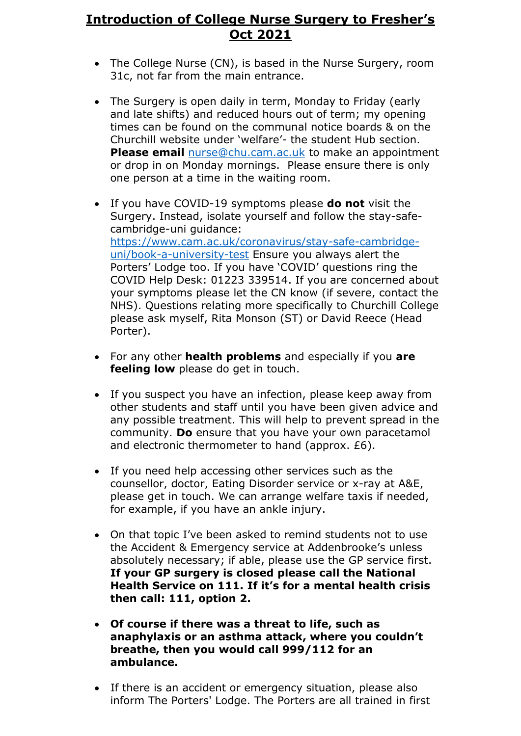## **Introduction of College Nurse Surgery to Fresher's Oct 2021**

- The College Nurse (CN), is based in the Nurse Surgery, room 31c, not far from the main entrance.
- The Surgery is open daily in term, Monday to Friday (early and late shifts) and reduced hours out of term; my opening times can be found on the communal notice boards & on the Churchill website under 'welfare'- the student Hub section. **Please email** [nurse@chu.cam.ac.uk](mailto:nurse@chu.cam.ac.uk) to make an appointment or drop in on Monday mornings. Please ensure there is only one person at a time in the waiting room.
- If you have COVID-19 symptoms please **do not** visit the Surgery. Instead, isolate yourself and follow the stay-safecambridge-uni guidance: [https://www.cam.ac.uk/coronavirus/stay-safe-cambridge](https://www.cam.ac.uk/coronavirus/stay-safe-cambridge-uni/book-a-university-test)[uni/book-a-university-test](https://www.cam.ac.uk/coronavirus/stay-safe-cambridge-uni/book-a-university-test) Ensure you always alert the Porters' Lodge too. If you have 'COVID' questions ring the COVID Help Desk: 01223 339514. If you are concerned about your symptoms please let the CN know (if severe, contact the NHS). Questions relating more specifically to Churchill College please ask myself, Rita Monson (ST) or David Reece (Head Porter).
- For any other **health problems** and especially if you **are feeling low** please do get in touch.
- If you suspect you have an infection, please keep away from other students and staff until you have been given advice and any possible treatment. This will help to prevent spread in the community. **Do** ensure that you have your own paracetamol and electronic thermometer to hand (approx. £6).
- If you need help accessing other services such as the counsellor, doctor, Eating Disorder service or x-ray at A&E, please get in touch. We can arrange welfare taxis if needed, for example, if you have an ankle injury.
- On that topic I've been asked to remind students not to use the Accident & Emergency service at Addenbrooke's unless absolutely necessary; if able, please use the GP service first. **If your GP surgery is closed please call the National Health Service on 111. If it's for a mental health crisis then call: 111, option 2.**
- **Of course if there was a threat to life, such as anaphylaxis or an asthma attack, where you couldn't breathe, then you would call 999/112 for an ambulance.**
- If there is an accident or emergency situation, please also inform The Porters' Lodge. The Porters are all trained in first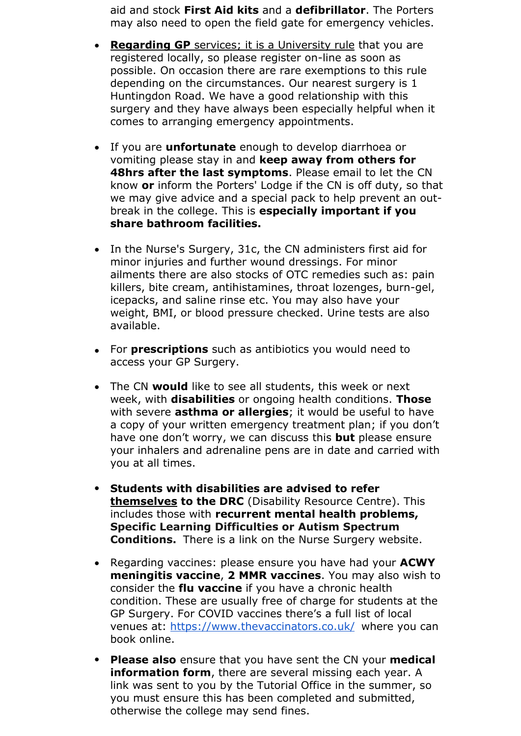aid and stock **First Aid kits** and a **defibrillator**. The Porters may also need to open the field gate for emergency vehicles.

- **Regarding GP** services; it is a University rule that you are registered locally, so please register on-line as soon as possible. On occasion there are rare exemptions to this rule depending on the circumstances. Our nearest surgery is 1 Huntingdon Road. We have a good relationship with this surgery and they have always been especially helpful when it comes to arranging emergency appointments.
- If you are **unfortunate** enough to develop diarrhoea or vomiting please stay in and **keep away from others for 48hrs after the last symptoms**. Please email to let the CN know **or** inform the Porters' Lodge if the CN is off duty, so that we may give advice and a special pack to help prevent an outbreak in the college. This is **especially important if you share bathroom facilities.**
- In the Nurse's Surgery, 31c, the CN administers first aid for minor injuries and further wound dressings. For minor ailments there are also stocks of OTC remedies such as: pain killers, bite cream, antihistamines, throat lozenges, burn-gel, icepacks, and saline rinse etc. You may also have your weight, BMI, or blood pressure checked. Urine tests are also available.
- For **prescriptions** such as antibiotics you would need to access your GP Surgery.
- The CN **would** like to see all students, this week or next week, with **disabilities** or ongoing health conditions. **Those** with severe **asthma or allergies**; it would be useful to have a copy of your written emergency treatment plan; if you don't have one don't worry, we can discuss this **but** please ensure your inhalers and adrenaline pens are in date and carried with you at all times.
- **Students with disabilities are advised to refer themselves to the DRC** (Disability Resource Centre). This includes those with **recurrent mental health problems, Specific Learning Difficulties or Autism Spectrum Conditions.** There is a link on the Nurse Surgery website.
- Regarding vaccines: please ensure you have had your **ACWY meningitis vaccine**, **2 MMR vaccines**. You may also wish to consider the **flu vaccine** if you have a chronic health condition. These are usually free of charge for students at the GP Surgery. For COVID vaccines there's a full list of local venues at: [https://www.thevaccinators.co](https://www.thevaccinators.co.uk/).uk/ where you can book online.
- **Please also** ensure that you have sent the CN your **medical information form**, there are several missing each year. A link was sent to you by the Tutorial Office in the summer, so you must ensure this has been completed and submitted, otherwise the college may send fines.